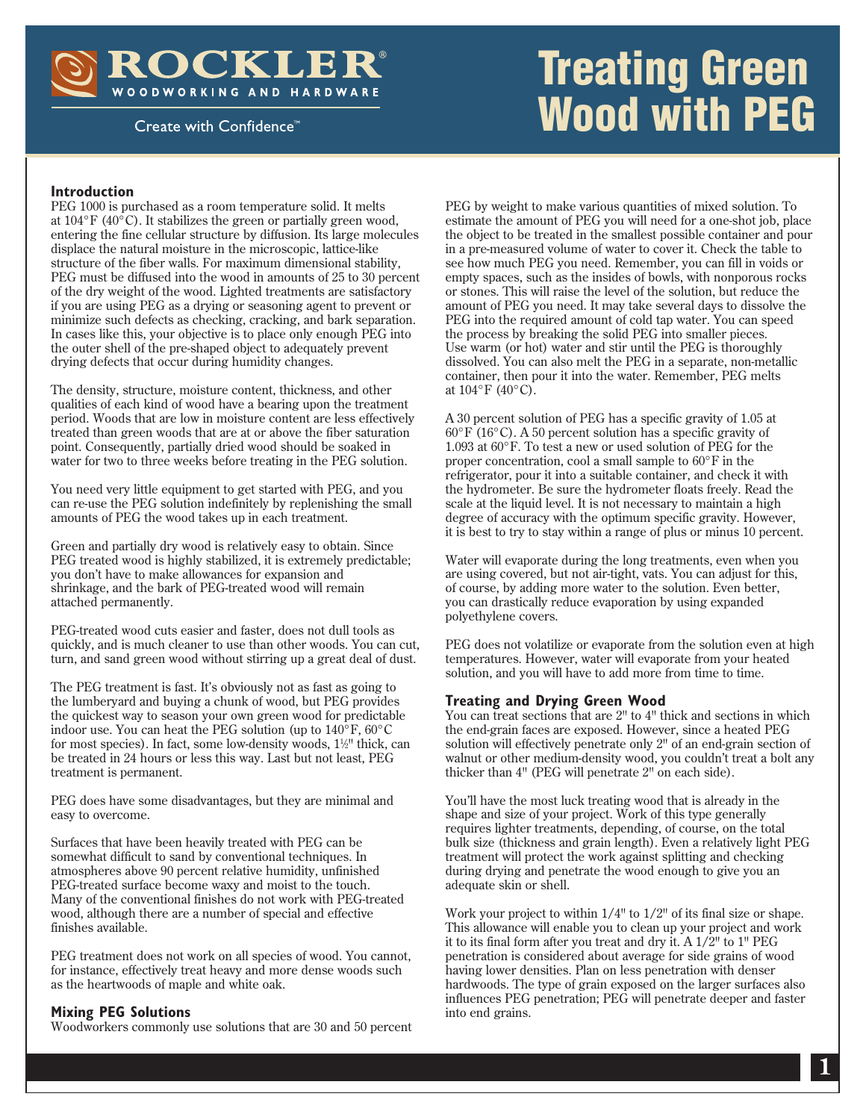ROCKLER® WOODWORKING AND HARDWARE

Create with Confidence<sup>™</sup>

# Treating Green Wood with PEG

#### **Introduction**

PEG 1000 is purchased as a room temperature solid. It melts at  $104^{\circ}$ F (40 $^{\circ}$ C). It stabilizes the green or partially green wood, entering the fine cellular structure by diffusion. Its large molecules displace the natural moisture in the microscopic, lattice-like structure of the fiber walls. For maximum dimensional stability, PEG must be diffused into the wood in amounts of 25 to 30 percent of the dry weight of the wood. Lighted treatments are satisfactory if you are using PEG as a drying or seasoning agent to prevent or minimize such defects as checking, cracking, and bark separation. In cases like this, your objective is to place only enough PEG into the outer shell of the pre-shaped object to adequately prevent drying defects that occur during humidity changes.

The density, structure, moisture content, thickness, and other qualities of each kind of wood have a bearing upon the treatment period. Woods that are low in moisture content are less effectively treated than green woods that are at or above the fiber saturation point. Consequently, partially dried wood should be soaked in water for two to three weeks before treating in the PEG solution.

You need very little equipment to get started with PEG, and you can re-use the PEG solution indefinitely by replenishing the small amounts of PEG the wood takes up in each treatment.

Green and partially dry wood is relatively easy to obtain. Since PEG treated wood is highly stabilized, it is extremely predictable; you don't have to make allowances for expansion and shrinkage, and the bark of PEG-treated wood will remain attached permanently.

PEG-treated wood cuts easier and faster, does not dull tools as quickly, and is much cleaner to use than other woods. You can cut, turn, and sand green wood without stirring up a great deal of dust.

The PEG treatment is fast. It's obviously not as fast as going to the lumberyard and buying a chunk of wood, but PEG provides the quickest way to season your own green wood for predictable indoor use. You can heat the PEG solution (up to 140°F, 60°C for most species). In fact, some low-density woods,  $1\frac{1}{2}$ " thick, can be treated in 24 hours or less this way. Last but not least, PEG treatment is permanent.

PEG does have some disadvantages, but they are minimal and easy to overcome.

Surfaces that have been heavily treated with PEG can be somewhat difficult to sand by conventional techniques. In atmospheres above 90 percent relative humidity, unfinished PEG-treated surface become waxy and moist to the touch. Many of the conventional finishes do not work with PEG-treated wood, although there are a number of special and effective finishes available.

PEG treatment does not work on all species of wood. You cannot, for instance, effectively treat heavy and more dense woods such as the heartwoods of maple and white oak.

#### **Mixing PEG Solutions**

Woodworkers commonly use solutions that are 30 and 50 percent

PEG by weight to make various quantities of mixed solution. To estimate the amount of PEG you will need for a one-shot job, place the object to be treated in the smallest possible container and pour in a pre-measured volume of water to cover it. Check the table to see how much PEG you need. Remember, you can fill in voids or empty spaces, such as the insides of bowls, with nonporous rocks or stones. This will raise the level of the solution, but reduce the amount of PEG you need. It may take several days to dissolve the PEG into the required amount of cold tap water. You can speed the process by breaking the solid PEG into smaller pieces. Use warm (or hot) water and stir until the PEG is thoroughly dissolved. You can also melt the PEG in a separate, non-metallic container, then pour it into the water. Remember, PEG melts at 104°F (40°C).

A 30 percent solution of PEG has a specific gravity of 1.05 at 60°F (16°C). A 50 percent solution has a specific gravity of 1.093 at 60°F. To test a new or used solution of PEG for the proper concentration, cool a small sample to 60°F in the refrigerator, pour it into a suitable container, and check it with the hydrometer. Be sure the hydrometer floats freely. Read the scale at the liquid level. It is not necessary to maintain a high degree of accuracy with the optimum specific gravity. However, it is best to try to stay within a range of plus or minus 10 percent.

Water will evaporate during the long treatments, even when you are using covered, but not air-tight, vats. You can adjust for this, of course, by adding more water to the solution. Even better, you can drastically reduce evaporation by using expanded polyethylene covers.

PEG does not volatilize or evaporate from the solution even at high temperatures. However, water will evaporate from your heated solution, and you will have to add more from time to time.

#### **Treating and Drying Green Wood**

You can treat sections that are 2<sup>"</sup> to 4" thick and sections in which the end-grain faces are exposed. However, since a heated PEG solution will effectively penetrate only 2" of an end-grain section of walnut or other medium-density wood, you couldn't treat a bolt any thicker than 4" (PEG will penetrate 2" on each side).

You'll have the most luck treating wood that is already in the shape and size of your project. Work of this type generally requires lighter treatments, depending, of course, on the total bulk size (thickness and grain length). Even a relatively light PEG treatment will protect the work against splitting and checking during drying and penetrate the wood enough to give you an adequate skin or shell.

Work your project to within 1/4" to 1/2" of its final size or shape. This allowance will enable you to clean up your project and work it to its final form after you treat and dry it. A 1/2" to 1" PEG penetration is considered about average for side grains of wood having lower densities. Plan on less penetration with denser hardwoods. The type of grain exposed on the larger surfaces also influences PEG penetration; PEG will penetrate deeper and faster into end grains.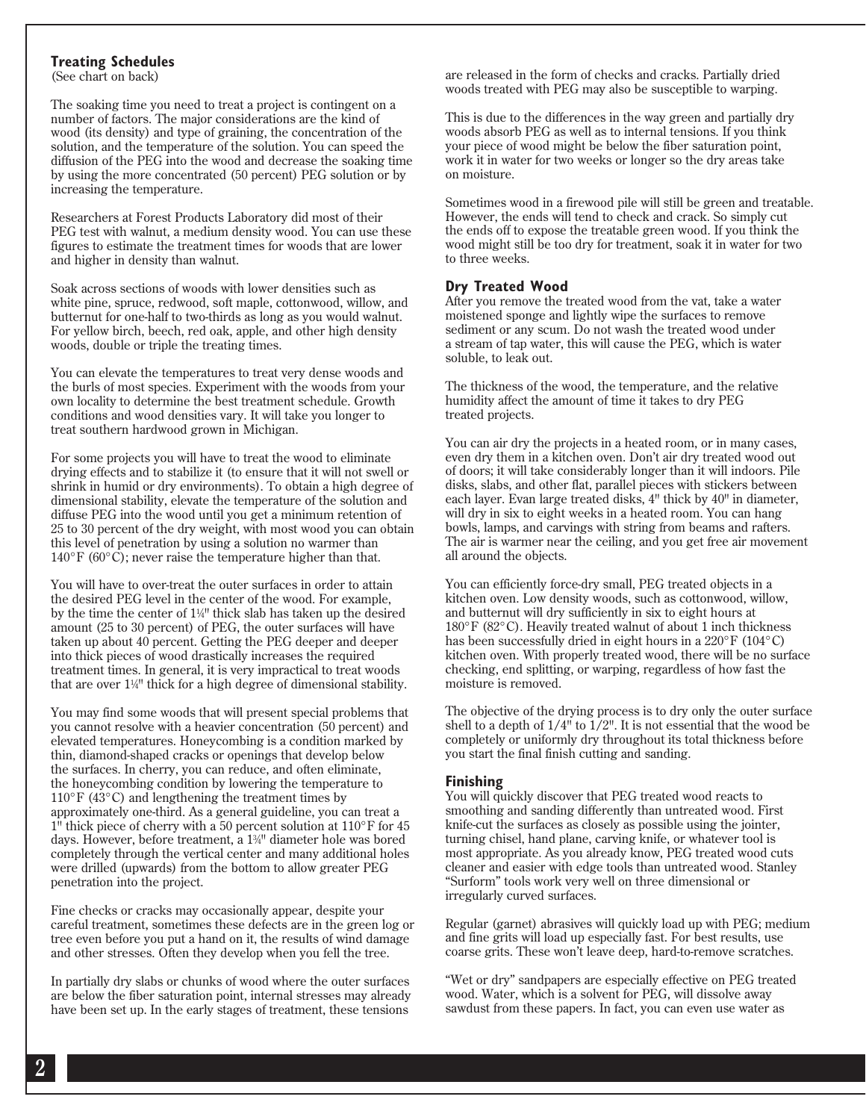#### **Treating Schedules**

(See chart on back)

The soaking time you need to treat a project is contingent on a number of factors. The major considerations are the kind of wood (its density) and type of graining, the concentration of the solution, and the temperature of the solution. You can speed the diffusion of the PEG into the wood and decrease the soaking time by using the more concentrated (50 percent) PEG solution or by increasing the temperature.

Researchers at Forest Products Laboratory did most of their PEG test with walnut, a medium density wood. You can use these figures to estimate the treatment times for woods that are lower and higher in density than walnut.

Soak across sections of woods with lower densities such as white pine, spruce, redwood, soft maple, cottonwood, willow, and butternut for one-half to two-thirds as long as you would walnut. For yellow birch, beech, red oak, apple, and other high density woods, double or triple the treating times.

You can elevate the temperatures to treat very dense woods and the burls of most species. Experiment with the woods from your own locality to determine the best treatment schedule. Growth conditions and wood densities vary. It will take you longer to treat southern hardwood grown in Michigan.

For some projects you will have to treat the wood to eliminate drying effects and to stabilize it (to ensure that it will not swell or shrink in humid or dry environments). To obtain a high degree of dimensional stability, elevate the temperature of the solution and diffuse PEG into the wood until you get a minimum retention of 25 to 30 percent of the dry weight, with most wood you can obtain this level of penetration by using a solution no warmer than 140°F (60°C); never raise the temperature higher than that.

You will have to over-treat the outer surfaces in order to attain the desired PEG level in the center of the wood. For example, by the time the center of 11 ⁄4" thick slab has taken up the desired amount (25 to 30 percent) of PEG, the outer surfaces will have taken up about 40 percent. Getting the PEG deeper and deeper into thick pieces of wood drastically increases the required treatment times. In general, it is very impractical to treat woods that are over 11 ⁄4" thick for a high degree of dimensional stability.

You may find some woods that will present special problems that you cannot resolve with a heavier concentration (50 percent) and elevated temperatures. Honeycombing is a condition marked by thin, diamond-shaped cracks or openings that develop below the surfaces. In cherry, you can reduce, and often eliminate, the honeycombing condition by lowering the temperature to  $110^{\circ}$ F (43 $^{\circ}$ C) and lengthening the treatment times by approximately one-third. As a general guideline, you can treat a 1" thick piece of cherry with a 50 percent solution at 110°F for 45 days. However, before treatment, a 13 ⁄4" diameter hole was bored completely through the vertical center and many additional holes were drilled (upwards) from the bottom to allow greater PEG penetration into the project.

Fine checks or cracks may occasionally appear, despite your careful treatment, sometimes these defects are in the green log or tree even before you put a hand on it, the results of wind damage and other stresses. Often they develop when you fell the tree.

In partially dry slabs or chunks of wood where the outer surfaces are below the fiber saturation point, internal stresses may already have been set up. In the early stages of treatment, these tensions

are released in the form of checks and cracks. Partially dried woods treated with PEG may also be susceptible to warping.

This is due to the differences in the way green and partially dry woods absorb PEG as well as to internal tensions. If you think your piece of wood might be below the fiber saturation point, work it in water for two weeks or longer so the dry areas take on moisture.

Sometimes wood in a firewood pile will still be green and treatable. However, the ends will tend to check and crack. So simply cut the ends off to expose the treatable green wood. If you think the wood might still be too dry for treatment, soak it in water for two to three weeks.

#### **Dry Treated Wood**

After you remove the treated wood from the vat, take a water moistened sponge and lightly wipe the surfaces to remove sediment or any scum. Do not wash the treated wood under a stream of tap water, this will cause the PEG, which is water soluble, to leak out.

The thickness of the wood, the temperature, and the relative humidity affect the amount of time it takes to dry PEG treated projects.

You can air dry the projects in a heated room, or in many cases, even dry them in a kitchen oven. Don't air dry treated wood out of doors; it will take considerably longer than it will indoors. Pile disks, slabs, and other flat, parallel pieces with stickers between each layer. Evan large treated disks, 4" thick by 40" in diameter, will dry in six to eight weeks in a heated room. You can hang bowls, lamps, and carvings with string from beams and rafters. The air is warmer near the ceiling, and you get free air movement all around the objects.

You can efficiently force-dry small, PEG treated objects in a kitchen oven. Low density woods, such as cottonwood, willow, and butternut will dry sufficiently in six to eight hours at 180°F (82°C). Heavily treated walnut of about 1 inch thickness has been successfully dried in eight hours in a 220°F (104°C) kitchen oven. With properly treated wood, there will be no surface checking, end splitting, or warping, regardless of how fast the moisture is removed.

The objective of the drying process is to dry only the outer surface shell to a depth of  $1/4$ <sup>"</sup> to  $1/2$ ". It is not essential that the wood be completely or uniformly dry throughout its total thickness before you start the final finish cutting and sanding.

#### **Finishing**

You will quickly discover that PEG treated wood reacts to smoothing and sanding differently than untreated wood. First knife-cut the surfaces as closely as possible using the jointer, turning chisel, hand plane, carving knife, or whatever tool is most appropriate. As you already know, PEG treated wood cuts cleaner and easier with edge tools than untreated wood. Stanley "Surform" tools work very well on three dimensional or irregularly curved surfaces.

Regular (garnet) abrasives will quickly load up with PEG; medium and fine grits will load up especially fast. For best results, use coarse grits. These won't leave deep, hard-to-remove scratches.

"Wet or dry" sandpapers are especially effective on PEG treated wood. Water, which is a solvent for PEG, will dissolve away sawdust from these papers. In fact, you can even use water as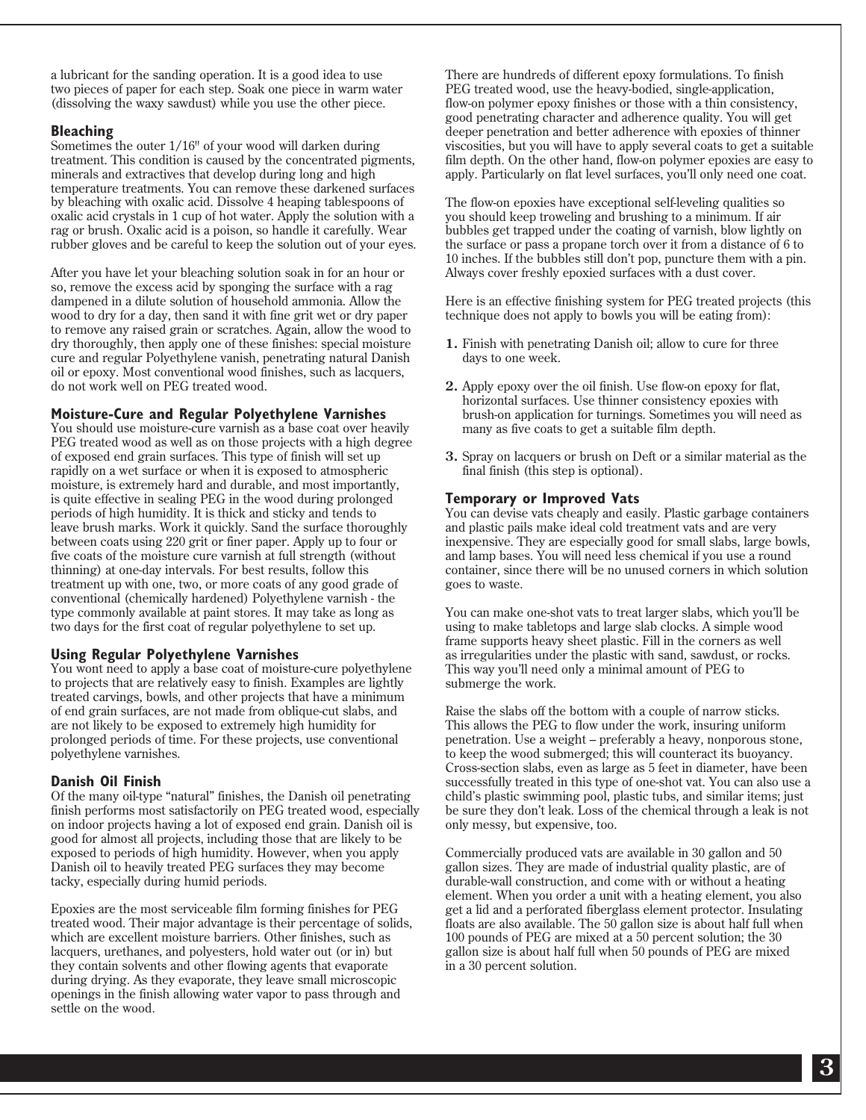a lubricant for the sanding operation. It is a good idea to use two pieces of paper for each step. Soak one piece in warm water (dissolving the waxy sawdust) while you use the other piece.

#### **Bleaching**

Sometimes the outer 1/16" of your wood will darken during treatment. This condition is caused by the concentrated pigments, minerals and extractives that develop during long and high temperature treatments. You can remove these darkened surfaces by bleaching with oxalic acid. Dissolve 4 heaping tablespoons of oxalic acid crystals in 1 cup of hot water. Apply the solution with a rag or brush. Oxalic acid is a poison, so handle it carefully. Wear rubber gloves and be careful to keep the solution out of your eyes.

After you have let your bleaching solution soak in for an hour or so, remove the excess acid by sponging the surface with a rag dampened in a dilute solution of household ammonia. Allow the wood to dry for a day, then sand it with fine grit wet or dry paper to remove any raised grain or scratches. Again, allow the wood to dry thoroughly, then apply one of these finishes: special moisture cure and regular Polyethylene vanish, penetrating natural Danish oil or epoxy. Most conventional wood finishes, such as lacquers, do not work well on PEG treated wood.

#### **Moisture-Cure and Regular Polyethylene Varnishes**

You should use moisture-cure varnish as a base coat over heavily PEG treated wood as well as on those projects with a high degree of exposed end grain surfaces. This type of finish will set up rapidly on a wet surface or when it is exposed to atmospheric moisture, is extremely hard and durable, and most importantly, is quite effective in sealing PEG in the wood during prolonged periods of high humidity. It is thick and sticky and tends to leave brush marks. Work it quickly. Sand the surface thoroughly between coats using 220 grit or finer paper. Apply up to four or five coats of the moisture cure varnish at full strength (without thinning) at one-day intervals. For best results, follow this treatment up with one, two, or more coats of any good grade of conventional (chemically hardened) Polyethylene varnish - the type commonly available at paint stores. It may take as long as two days for the first coat of regular polyethylene to set up.

#### **Using Regular Polyethylene Varnishes**

You wont need to apply a base coat of moisture-cure polyethylene to projects that are relatively easy to finish. Examples are lightly treated carvings, bowls, and other projects that have a minimum of end grain surfaces, are not made from oblique-cut slabs, and are not likely to be exposed to extremely high humidity for prolonged periods of time. For these projects, use conventional polyethylene varnishes.

#### **Danish Oil Finish**

Of the many oil-type "natural" finishes, the Danish oil penetrating finish performs most satisfactorily on PEG treated wood, especially on indoor projects having a lot of exposed end grain. Danish oil is good for almost all projects, including those that are likely to be exposed to periods of high humidity. However, when you apply Danish oil to heavily treated PEG surfaces they may become tacky, especially during humid periods.

Epoxies are the most serviceable film forming finishes for PEG treated wood. Their major advantage is their percentage of solids, which are excellent moisture barriers. Other finishes, such as lacquers, urethanes, and polyesters, hold water out (or in) but they contain solvents and other flowing agents that evaporate during drying. As they evaporate, they leave small microscopic openings in the finish allowing water vapor to pass through and settle on the wood.

There are hundreds of different epoxy formulations. To finish PEG treated wood, use the heavy-bodied, single-application, flow-on polymer epoxy finishes or those with a thin consistency, good penetrating character and adherence quality. You will get deeper penetration and better adherence with epoxies of thinner viscosities, but you will have to apply several coats to get a suitable film depth. On the other hand, flow-on polymer epoxies are easy to apply. Particularly on flat level surfaces, you'll only need one coat.

The flow-on epoxies have exceptional self-leveling qualities so you should keep troweling and brushing to a minimum. If air bubbles get trapped under the coating of varnish, blow lightly on the surface or pass a propane torch over it from a distance of 6 to 10 inches. If the bubbles still don't pop, puncture them with a pin. Always cover freshly epoxied surfaces with a dust cover.

Here is an effective finishing system for PEG treated projects (this technique does not apply to bowls you will be eating from):

- **1.** Finish with penetrating Danish oil; allow to cure for three days to one week.
- **2.** Apply epoxy over the oil finish. Use flow-on epoxy for flat, horizontal surfaces. Use thinner consistency epoxies with brush-on application for turnings. Sometimes you will need as many as five coats to get a suitable film depth.
- **3.** Spray on lacquers or brush on Deft or a similar material as the final finish (this step is optional).

#### **Temporary or Improved Vats**

You can devise vats cheaply and easily. Plastic garbage containers and plastic pails make ideal cold treatment vats and are very inexpensive. They are especially good for small slabs, large bowls, and lamp bases. You will need less chemical if you use a round container, since there will be no unused corners in which solution goes to waste.

You can make one-shot vats to treat larger slabs, which you'll be using to make tabletops and large slab clocks. A simple wood frame supports heavy sheet plastic. Fill in the corners as well as irregularities under the plastic with sand, sawdust, or rocks. This way you'll need only a minimal amount of PEG to submerge the work.

Raise the slabs off the bottom with a couple of narrow sticks. This allows the PEG to flow under the work, insuring uniform penetration. Use a weight – preferably a heavy, nonporous stone, to keep the wood submerged; this will counteract its buoyancy. Cross-section slabs, even as large as 5 feet in diameter, have been successfully treated in this type of one-shot vat. You can also use a child's plastic swimming pool, plastic tubs, and similar items; just be sure they don't leak. Loss of the chemical through a leak is not only messy, but expensive, too.

Commercially produced vats are available in 30 gallon and 50 gallon sizes. They are made of industrial quality plastic, are of durable-wall construction, and come with or without a heating element. When you order a unit with a heating element, you also get a lid and a perforated fiberglass element protector. Insulating floats are also available. The 50 gallon size is about half full when 100 pounds of PEG are mixed at a 50 percent solution; the 30 gallon size is about half full when 50 pounds of PEG are mixed in a 30 percent solution.